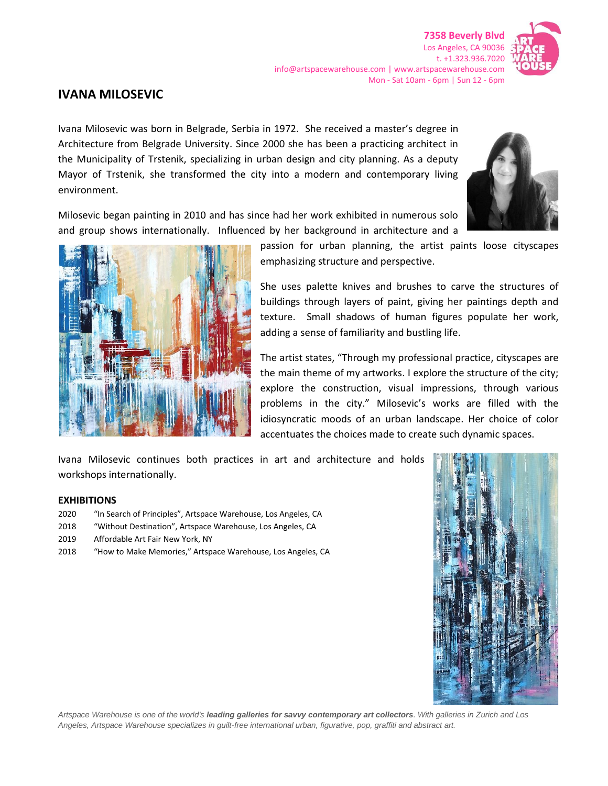

## **IVANA MILOSEVIC**

Ivana Milosevic was born in Belgrade, Serbia in 1972. She received a master's degree in Architecture from Belgrade University. Since 2000 she has been a practicing architect in the Municipality of Trstenik, specializing in urban design and city planning. As a deputy Mayor of Trstenik, she transformed the city into a modern and contemporary living environment.

Milosevic began painting in 2010 and has since had her work exhibited in numerous solo and group shows internationally. Influenced by her background in architecture and a





passion for urban planning, the artist paints loose cityscapes emphasizing structure and perspective.

She uses palette knives and brushes to carve the structures of buildings through layers of paint, giving her paintings depth and texture. Small shadows of human figures populate her work, adding a sense of familiarity and bustling life.

The artist states, "Through my professional practice, cityscapes are the main theme of my artworks. I explore the structure of the city; explore the construction, visual impressions, through various problems in the city." Milosevic's works are filled with the idiosyncratic moods of an urban landscape. Her choice of color accentuates the choices made to create such dynamic spaces.

Ivana Milosevic continues both practices in art and architecture and holds workshops internationally.

## **EXHIBITIONS**

- 2020 "In Search of Principles", Artspace Warehouse, Los Angeles, CA
- 2018 "Without Destination", Artspace Warehouse, Los Angeles, CA
- 2019 Affordable Art Fair New York, NY
- 2018 "How to Make Memories," Artspace Warehouse, Los Angeles, CA



*Artspace Warehouse is one of the world's leading galleries for savvy contemporary art collectors. With galleries in Zurich and Los Angeles, Artspace Warehouse specializes in guilt-free international urban, figurative, pop, graffiti and abstract art.*